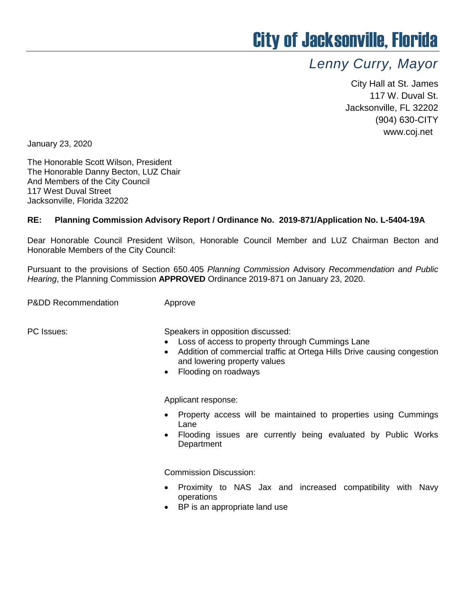## City of Jacksonville, Florida

## *Lenny Curry, Mayor*

City Hall at St. James 117 W. Duval St. Jacksonville, FL 32202 (904) 630-CITY www.coj.net

January 23, 2020

The Honorable Scott Wilson, President The Honorable Danny Becton, LUZ Chair And Members of the City Council 117 West Duval Street Jacksonville, Florida 32202

## **RE: Planning Commission Advisory Report / Ordinance No. 2019-871/Application No. L-5404-19A**

Dear Honorable Council President Wilson, Honorable Council Member and LUZ Chairman Becton and Honorable Members of the City Council:

Pursuant to the provisions of Section 650.405 *Planning Commission* Advisory *Recommendation and Public Hearing*, the Planning Commission **APPROVED** Ordinance 2019-871 on January 23, 2020.

P&DD Recommendation **Approve** 

PC Issues: Speakers in opposition discussed:

- Loss of access to property through Cummings Lane
- Addition of commercial traffic at Ortega Hills Drive causing congestion and lowering property values
- Flooding on roadways

Applicant response:

- Property access will be maintained to properties using Cummings Lane
- Flooding issues are currently being evaluated by Public Works **Department**

Commission Discussion:

- Proximity to NAS Jax and increased compatibility with Navy operations
- BP is an appropriate land use